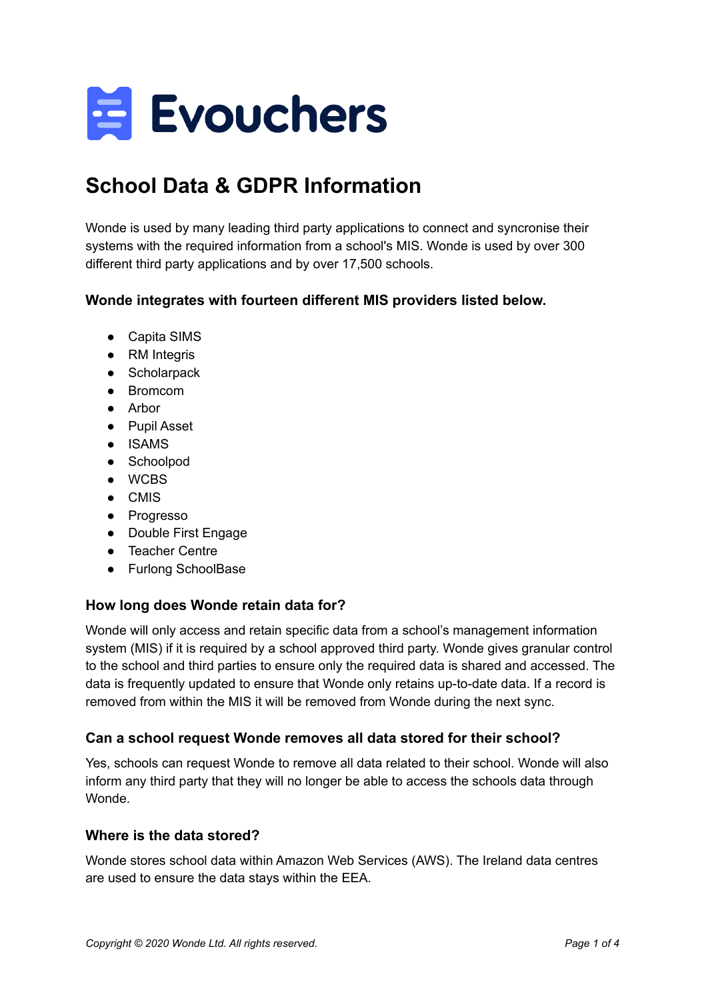

# **School Data & GDPR Information**

Wonde is used by many leading third party applications to connect and syncronise their systems with the required information from a school's MIS. Wonde is used by over 300 different third party applications and by over 17,500 schools.

# **Wonde integrates with fourteen different MIS providers listed below.**

- Capita SIMS
- RM Integris
- Scholarpack
- Bromcom
- Arbor
- Pupil Asset
- ISAMS
- Schoolpod
- WCBS
- CMIS
- Progresso
- Double First Engage
- Teacher Centre
- Furlong SchoolBase

## **How long does Wonde retain data for?**

Wonde will only access and retain specific data from a school's management information system (MIS) if it is required by a school approved third party. Wonde gives granular control to the school and third parties to ensure only the required data is shared and accessed. The data is frequently updated to ensure that Wonde only retains up-to-date data. If a record is removed from within the MIS it will be removed from Wonde during the next sync.

## **Can a school request Wonde removes all data stored for their school?**

Yes, schools can request Wonde to remove all data related to their school. Wonde will also inform any third party that they will no longer be able to access the schools data through Wonde.

#### **Where is the data stored?**

Wonde stores school data within Amazon Web Services (AWS). The Ireland data centres are used to ensure the data stays within the EEA.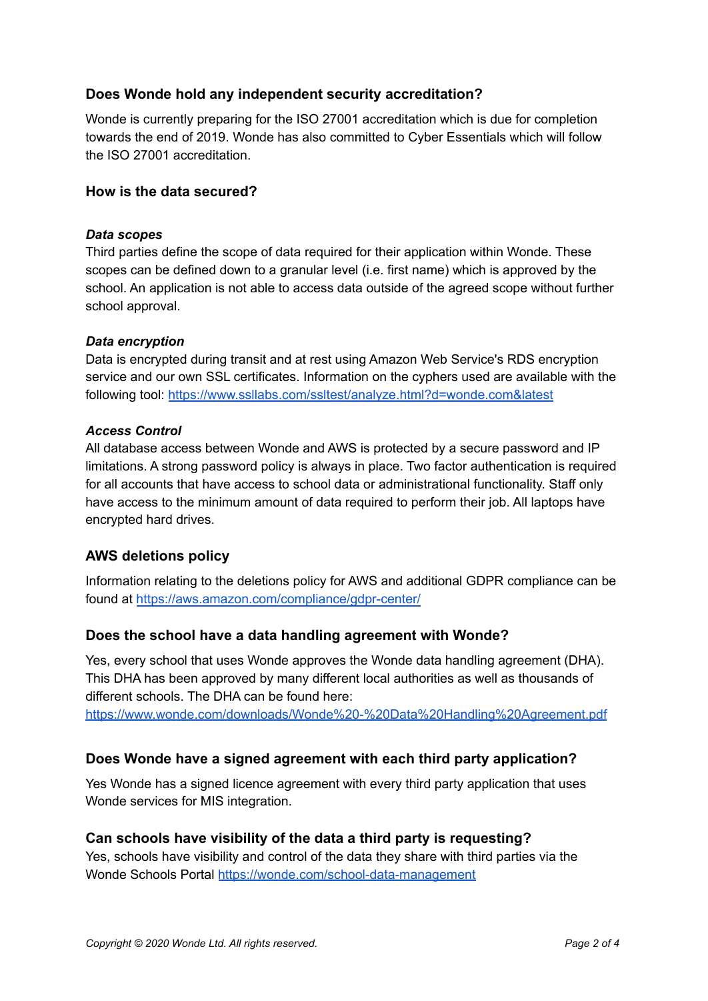## **Does Wonde hold any independent security accreditation?**

Wonde is currently preparing for the ISO 27001 accreditation which is due for completion towards the end of 2019. Wonde has also committed to Cyber Essentials which will follow the ISO 27001 accreditation.

#### **How is the data secured?**

#### *Data scopes*

Third parties define the scope of data required for their application within Wonde. These scopes can be defined down to a granular level (i.e. first name) which is approved by the school. An application is not able to access data outside of the agreed scope without further school approval.

#### *Data encryption*

Data is encrypted during transit and at rest using Amazon Web Service's RDS encryption service and our own SSL certificates. Information on the cyphers used are available with the following tool: <https://www.ssllabs.com/ssltest/analyze.html?d=wonde.com&latest>

#### *Access Control*

All database access between Wonde and AWS is protected by a secure password and IP limitations. A strong password policy is always in place. Two factor authentication is required for all accounts that have access to school data or administrational functionality. Staff only have access to the minimum amount of data required to perform their job. All laptops have encrypted hard drives.

## **AWS deletions policy**

Information relating to the deletions policy for AWS and additional GDPR compliance can be found at <https://aws.amazon.com/compliance/gdpr-center/>

## **Does the school have a data handling agreement with Wonde?**

Yes, every school that uses Wonde approves the Wonde data handling agreement (DHA). This DHA has been approved by many different local authorities as well as thousands of different schools. The DHA can be found here:

<https://www.wonde.com/downloads/Wonde%20-%20Data%20Handling%20Agreement.pdf>

## **Does Wonde have a signed agreement with each third party application?**

Yes Wonde has a signed licence agreement with every third party application that uses Wonde services for MIS integration.

#### **Can schools have visibility of the data a third party is requesting?**

Yes, schools have visibility and control of the data they share with third parties via the Wonde Schools Portal <https://wonde.com/school-data-management>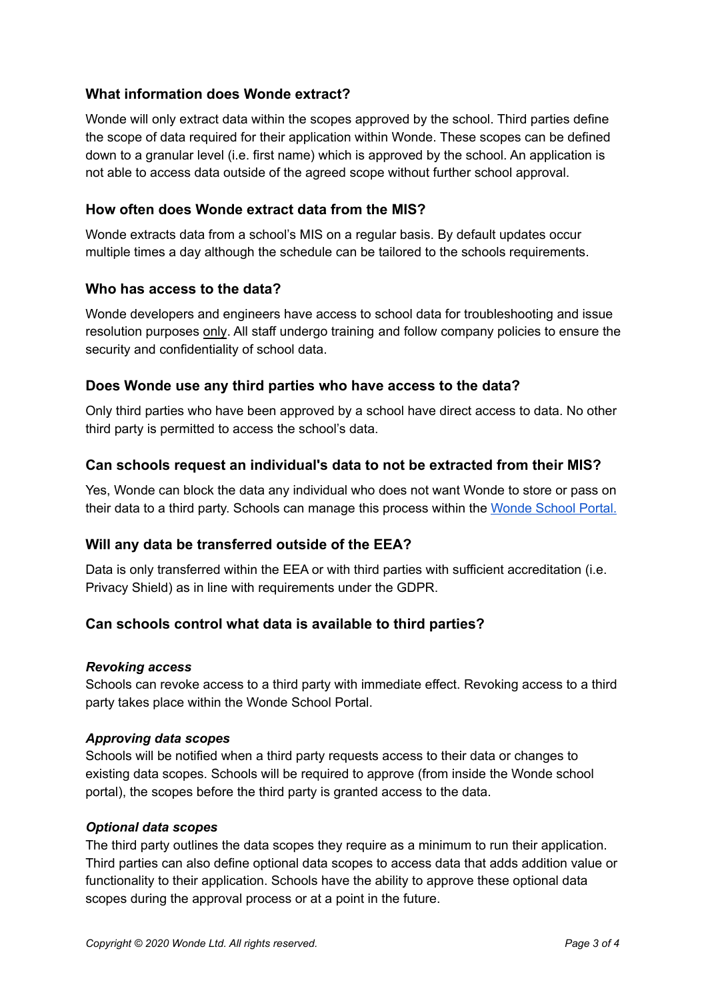## **What information does Wonde extract?**

Wonde will only extract data within the scopes approved by the school. Third parties define the scope of data required for their application within Wonde. These scopes can be defined down to a granular level (i.e. first name) which is approved by the school. An application is not able to access data outside of the agreed scope without further school approval.

## **How often does Wonde extract data from the MIS?**

Wonde extracts data from a school's MIS on a regular basis. By default updates occur multiple times a day although the schedule can be tailored to the schools requirements.

#### **Who has access to the data?**

Wonde developers and engineers have access to school data for troubleshooting and issue resolution purposes only. All staff undergo training and follow company policies to ensure the security and confidentiality of school data.

# **Does Wonde use any third parties who have access to the data?**

Only third parties who have been approved by a school have direct access to data. No other third party is permitted to access the school's data.

## **Can schools request an individual's data to not be extracted from their MIS?**

Yes, Wonde can block the data any individual who does not want Wonde to store or pass on their data to a third party. Schools can manage this process within the [Wonde](https://wonde.com/school-data-management) School Portal.

## **Will any data be transferred outside of the EEA?**

Data is only transferred within the EEA or with third parties with sufficient accreditation (i.e. Privacy Shield) as in line with requirements under the GDPR.

## **Can schools control what data is available to third parties?**

#### *Revoking access*

Schools can revoke access to a third party with immediate effect. Revoking access to a third party takes place within the Wonde School Portal.

#### *Approving data scopes*

Schools will be notified when a third party requests access to their data or changes to existing data scopes. Schools will be required to approve (from inside the Wonde school portal), the scopes before the third party is granted access to the data.

#### *Optional data scopes*

The third party outlines the data scopes they require as a minimum to run their application. Third parties can also define optional data scopes to access data that adds addition value or functionality to their application. Schools have the ability to approve these optional data scopes during the approval process or at a point in the future.